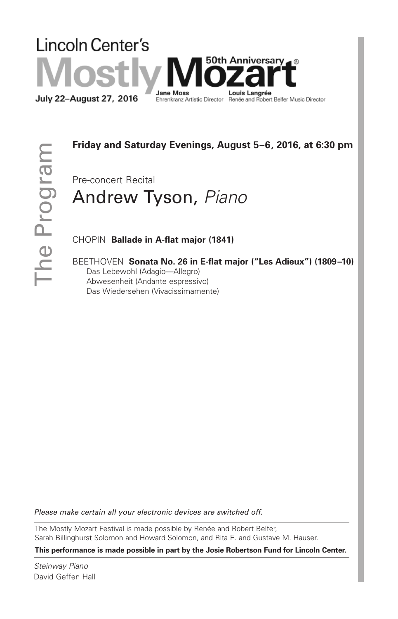# Lincoln Center's **50th Anniversary** Jane Mos Louis Langrée July 22-August 27, 2016 Ehrenkranz Artistic Director Renée and Robert Belfer Music Director

# **Friday and Saturday Evenings, August 5–6, 2016, at 6:30 pm**

Pre-concert Recital

# Andrew Tyson, *Piano*

CHOPIN **Ballade in A-flat major (1841)**

BEETHOVEN **Sonata No. 26 in E-flat major ("Les Adieux") (1809–10)** Das Lebewohl (Adagio—Allegro) Abwesenheit (Andante espressivo) Das Wiedersehen (Vivacissimamente)

*Please make certain all your electronic devices are switched off.*

The Mostly Mozart Festival is made possible by Renée and Robert Belfer, Sarah Billinghurst Solomon and Howard Solomon, and Rita E. and Gustave M. Hauser.

**This performance is made possible in part by the Josie Robertson Fund for Lincoln Center.**

*Steinway Piano* David Geffen Hall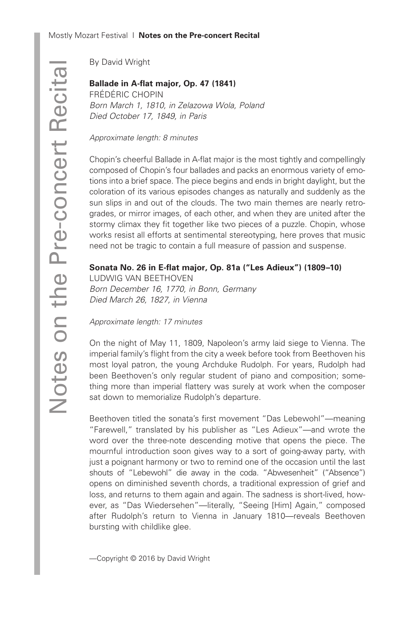By David Wright

# **Ballade in A-flat major, Op. 47 (1841)**

FRÉDÉRIC CHOPIN *Born March 1, 1810, in Zelazowa Wola, Poland Died October 17, 1849, in Paris*

*Approximate length: 8 minutes*

Chopin's cheerful Ballade in A-flat major is the most tightly and compellingly composed of Chopin's four ballades and packs an enormous variety of emotions into a brief space. The piece begins and ends in bright daylight, but the coloration of its various episodes changes as naturally and suddenly as the sun slips in and out of the clouds. The two main themes are nearly retrogrades, or mirror images, of each other, and when they are united after the stormy climax they fit together like two pieces of a puzzle. Chopin, whose works resist all efforts at sentimental stereotyping, here proves that music need not be tragic to contain a full measure of passion and suspense.

## **Sonata No. 26 in E-flat major, Op. 81a ("Les Adieux") (1809–10)**

LUDWIG VAN BEETHOVEN *Born December 16, 1770, in Bonn, Germany Died March 26, 1827, in Vienna*

*Approximate length: 17 minutes*

On the night of May 11, 1809, Napoleon's army laid siege to Vienna. The imperial family's flight from the city a week before took from Beethoven his most loyal patron, the young Archduke Rudolph. For years, Rudolph had been Beethoven's only regular student of piano and composition; something more than imperial flattery was surely at work when the composer sat down to memorialize Rudolph's departure.

Beethoven titled the sonata's first movement "Das Lebewohl"—meaning "Farewell," translated by his publisher as "Les Adieux"—and wrote the word over the three-note descending motive that opens the piece. The mournful introduction soon gives way to a sort of going-away party, with just a poignant harmony or two to remind one of the occasion until the last shouts of "Lebewohl" die away in the coda. "Abwesenheit" ("Absence") opens on diminished seventh chords, a traditional expression of grief and loss, and returns to them again and again. The sadness is short-lived, however, as "Das Wiedersehen"—literally, "Seeing [Him] Again," composed after Rudolph's return to Vienna in January 1810—reveals Beethoven bursting with childlike glee.

—Copyright © 2016 by David Wright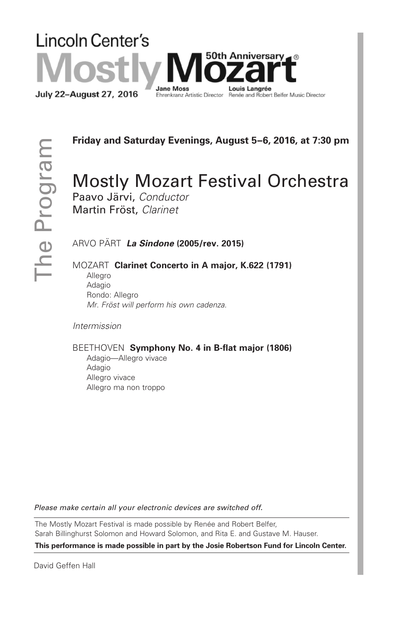#### **Lincoln Center's 50th Anniversary**⊿® **Jane Moss** Louis Langrée July 22-August 27, 2016 Ehrenkranz Artistic Director Renée and Robert Belfer Music Director

**Friday and Saturday Evenings, August 5–6, 2016, at 7:30 pm**

# Mostly Mozart Festival Orchestra

Paavo Järvi, *Conductor* Martin Fröst, *Clarinet*

ARVO PÄRT *La Sindone* **(2005/rev. 2015)**

MOZART **Clarinet Concerto in A major, K.622 (1791)**

Allegro Adagio Rondo: Allegro *Mr. Fröst will perform his own cadenza.*

*Intermission*

#### BEETHOVEN **Symphony No. 4 in B-flat major (1806)**

Adagio—Allegro vivace Adagio Allegro vivace Allegro ma non troppo

*Please make certain all your electronic devices are switched off.*

The Mostly Mozart Festival is made possible by Renée and Robert Belfer, Sarah Billinghurst Solomon and Howard Solomon, and Rita E. and Gustave M. Hauser.

**This performance is made possible in part by the Josie Robertson Fund for Lincoln Center.**

David Geffen Hall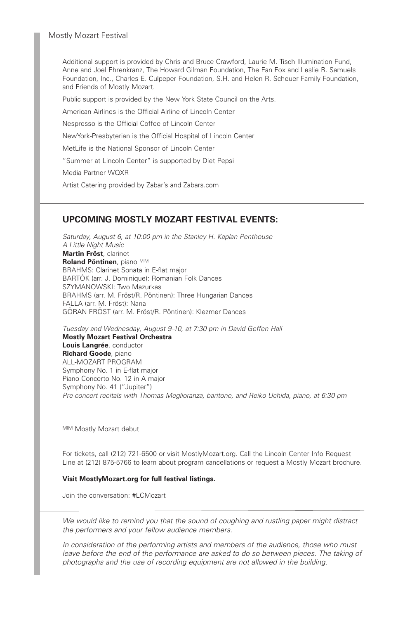Additional support is provided by Chris and Bruce Crawford, Laurie M. Tisch Illumination Fund, Anne and Joel Ehrenkranz, The Howard Gilman Foundation, The Fan Fox and Leslie R. Samuels Foundation, Inc., Charles E. Culpeper Foundation, S.H. and Helen R. Scheuer Family Foundation, and Friends of Mostly Mozart.

Public support is provided by the New York State Council on the Arts.

American Airlines is the Official Airline of Lincoln Center

Nespresso is the Official Coffee of Lincoln Center

NewYork-Presbyterian is the Official Hospital of Lincoln Center

MetLife is the National Sponsor of Lincoln Center

"Summer at Lincoln Center" is supported by Diet Pepsi

Media Partner WQXR

Artist Catering provided by Zabar's and Zabars.com

#### **UPCOMING MOSTLY MOZART FESTIVAL EVENTS:**

*Saturday, August 6, at 10:00 pm in the Stanley H. Kaplan Penthouse A Little Night Music* **Martin Fröst**, clarinet **Roland Pöntinen**, piano M|M BRAHMS: Clarinet Sonata in E-flat major BARTÓK (arr. J. Dominique): Romanian Folk Dances SZYMANOWSKI: Two Mazurkas BRAHMS (arr. M. Fröst/R. Pöntinen): Three Hungarian Dances FALLA (arr. M. Fröst): Nana GÖRAN FRÖST (arr. M. Fröst/R. Pöntinen): Klezmer Dances

*Tuesday and Wednesday, August 9–10, at 7:30 pm in David Geffen Hall* **Mostly Mozart Festival Orchestra Louis Langrée**, conductor **Richard Goode**, piano ALL-MOZART PROGRAM Symphony No. 1 in E-flat major Piano Concerto No. 12 in A major Symphony No. 41 ("Jupiter") *Pre-concert recitals with Thomas Meglioranza, baritone, and Reiko Uchida, piano, at 6:30 pm*

MIM Mostly Mozart debut

For tickets, call (212) 721-6500 or visit MostlyMozart.org. Call the Lincoln Center Info Request Line at (212) 875-5766 to learn about program cancellations or request a Mostly Mozart brochure.

#### **Visit MostlyMozart.org for full festival listings.**

Join the conversation: #LCMozart

*We would like to remind you that the sound of coughing and rustling paper might distract the performers and your fellow audience members.*

*In consideration of the performing artists and members of the audience, those who must leave before the end of the performance are asked to do so between pieces. The taking of photographs and the use of recording equipment are not allowed in the building.*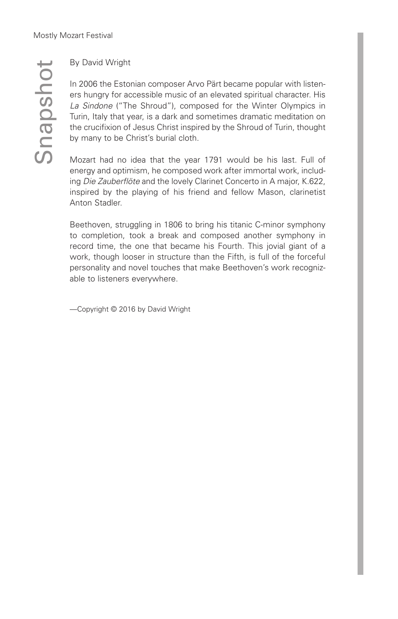$\mathcal O$  $\subseteq$  $\boldsymbol{\varpi}$  $\Omega$  $\mathcal{O}$ 드 o  $\overline{\phantom{a}}$ 

## By David Wright

In 2006 the Estonian composer Arvo Pärt became popular with listeners hungry for accessible music of an elevated spiritual character. His *La Sindone* ("The Shroud"), composed for the Winter Olympics in Turin, Italy that year, is a dark and sometimes dramatic meditation on the crucifixion of Jesus Christ inspired by the Shroud of Turin, thought by many to be Christ's burial cloth.

Mozart had no idea that the year 1791 would be his last. Full of energy and optimism, he composed work after immortal work, including *Die Zauberflöte* and the lovely Clarinet Concerto in A major, K.622, inspired by the playing of his friend and fellow Mason, clarinetist Anton Stadler.

Beethoven, struggling in 1806 to bring his titanic C-minor symphony to completion, took a break and composed another symphony in record time, the one that became his Fourth. This jovial giant of a work, though looser in structure than the Fifth, is full of the forceful personality and novel touches that make Beethoven's work recognizable to listeners everywhere.

—Copyright © 2016 by David Wright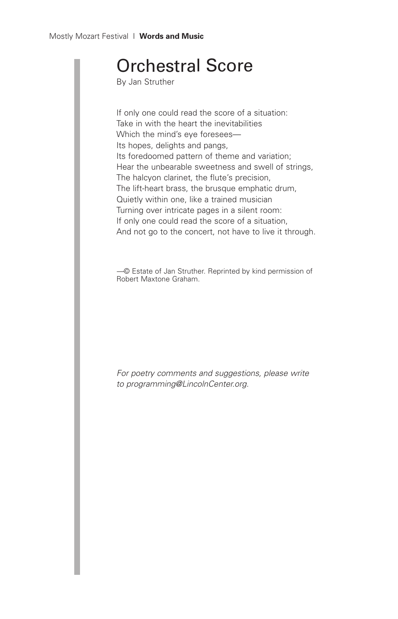# Orchestral Score

By Jan Struther

If only one could read the score of a situation: Take in with the heart the inevitabilities Which the mind's eye foresees— Its hopes, delights and pangs, Its foredoomed pattern of theme and variation; Hear the unbearable sweetness and swell of strings, The halcyon clarinet, the flute's precision, The lift-heart brass, the brusque emphatic drum, Quietly within one, like a trained musician Turning over intricate pages in a silent room: If only one could read the score of a situation, And not go to the concert, not have to live it through.

*—*© Estate of Jan Struther. Reprinted by kind permission of Robert Maxtone Graham.

*For poetry comments and suggestions, please write to programming@LincolnCenter.org.*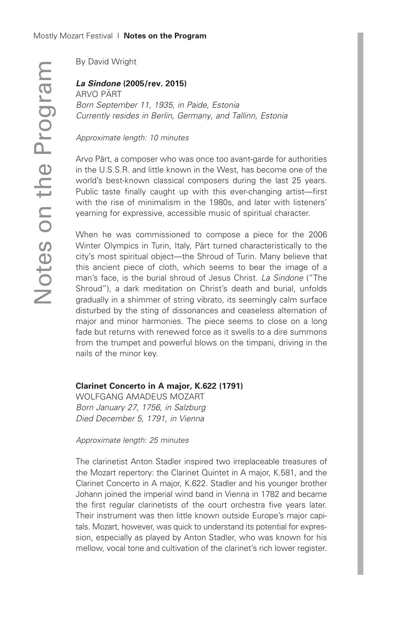By David Wright

## *La Sindone* **(2005/rev. 2015)**

ARVO PÄRT *Born September 11, 1935, in Paide, Estonia Currently resides in Berlin, Germany, and Tallinn, Estonia*

*Approximate length: 10 minutes*

Arvo Pärt, a composer who was once too avant-garde for authorities in the U.S.S.R. and little known in the West, has become one of the world's best-known classical composers during the last 25 years. Public taste finally caught up with this ever-changing artist—first with the rise of minimalism in the 1980s, and later with listeners' yearning for expressive, accessible music of spiritual character.

When he was commissioned to compose a piece for the 2006 Winter Olympics in Turin, Italy, Pärt turned characteristically to the city's most spiritual object—the Shroud of Turin. Many believe that this ancient piece of cloth, which seems to bear the image of a man's face, is the burial shroud of Jesus Christ. *La Sindone* ("The Shroud"), a dark meditation on Christ's death and burial, unfolds gradually in a shimmer of string vibrato, its seemingly calm surface disturbed by the sting of dissonances and ceaseless alternation of major and minor harmonies. The piece seems to close on a long fade but returns with renewed force as it swells to a dire summons from the trumpet and powerful blows on the timpani, driving in the nails of the minor key.

### **Clarinet Concerto in A major, K.622 (1791)**

WOLFGANG AMADEUS MOZART *Born January 27, 1756, in Salzburg Died December 5, 1791, in Vienna*

#### *Approximate length: 25 minutes*

The clarinetist Anton Stadler inspired two irreplaceable treasures of the Mozart repertory: the Clarinet Quintet in A major, K.581, and the Clarinet Concerto in A major, K.622. Stadler and his younger brother Johann joined the imperial wind band in Vienna in 1782 and became the first regular clarinetists of the court orchestra five years later. Their instrument was then little known outside Europe's major capitals. Mozart, however, was quick to understand its potential for expression, especially as played by Anton Stadler, who was known for his mellow, vocal tone and cultivation of the clarinet's rich lower register.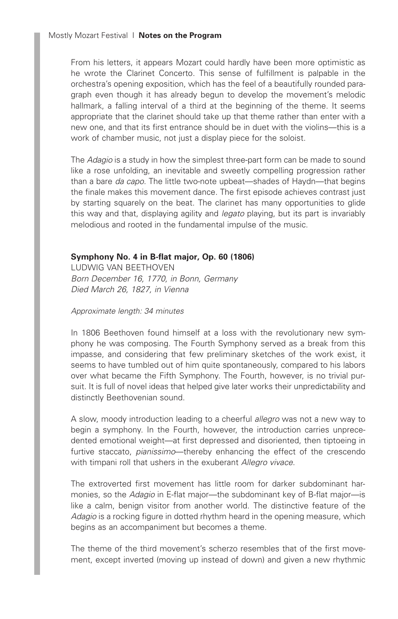From his letters, it appears Mozart could hardly have been more optimistic as he wrote the Clarinet Concerto. This sense of fulfillment is palpable in the orchestra's opening exposition, which has the feel of a beautifully rounded paragraph even though it has already begun to develop the movement's melodic hallmark, a falling interval of a third at the beginning of the theme. It seems appropriate that the clarinet should take up that theme rather than enter with a new one, and that its first entrance should be in duet with the violins—this is a work of chamber music, not just a display piece for the soloist.

The *Adagio* is a study in how the simplest three-part form can be made to sound like a rose unfolding, an inevitable and sweetly compelling progression rather than a bare *da capo*. The little two-note upbeat—shades of Haydn—that begins the finale makes this movement dance. The first episode achieves contrast just by starting squarely on the beat. The clarinet has many opportunities to glide this way and that, displaying agility and *legato* playing, but its part is invariably melodious and rooted in the fundamental impulse of the music.

### **Symphony No. 4 in B-flat major, Op. 60 (1806)**

LUDWIG VAN BEETHOVEN *Born December 16, 1770, in Bonn, Germany Died March 26, 1827, in Vienna*

#### *Approximate length: 34 minutes*

In 1806 Beethoven found himself at a loss with the revolutionary new symphony he was composing. The Fourth Symphony served as a break from this impasse, and considering that few preliminary sketches of the work exist, it seems to have tumbled out of him quite spontaneously, compared to his labors over what became the Fifth Symphony. The Fourth, however, is no trivial pursuit. It is full of novel ideas that helped give later works their unpredictability and distinctly Beethovenian sound.

A slow, moody introduction leading to a cheerful *allegro* was not a new way to begin a symphony. In the Fourth, however, the introduction carries unprecedented emotional weight—at first depressed and disoriented, then tiptoeing in furtive staccato, *pianissimo*—thereby enhancing the effect of the crescendo with timpani roll that ushers in the exuberant *Allegro vivace*.

The extroverted first movement has little room for darker subdominant harmonies, so the *Adagio* in E-flat major—the subdominant key of B-flat major—is like a calm, benign visitor from another world. The distinctive feature of the *Adagio* is a rocking figure in dotted rhythm heard in the opening measure, which begins as an accompaniment but becomes a theme.

The theme of the third movement's scherzo resembles that of the first movement, except inverted (moving up instead of down) and given a new rhythmic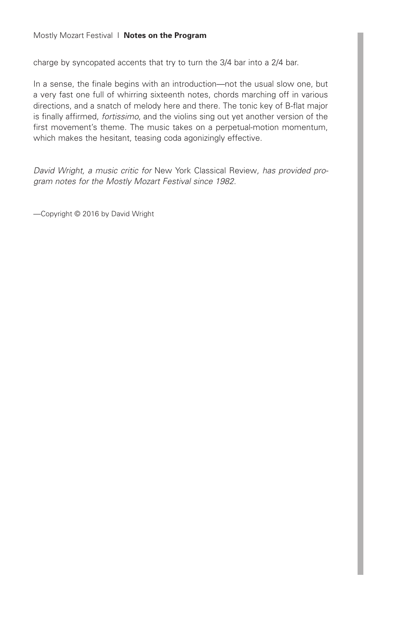charge by syncopated accents that try to turn the 3/4 bar into a 2/4 bar.

In a sense, the finale begins with an introduction—not the usual slow one, but a very fast one full of whirring sixteenth notes, chords marching off in various directions, and a snatch of melody here and there. The tonic key of B-flat major is finally affirmed, *fortissimo*, and the violins sing out yet another version of the first movement's theme. The music takes on a perpetual-motion momentum, which makes the hesitant, teasing coda agonizingly effective.

*David Wright, a music critic for* New York Classical Review*, has provided program notes for the Mostly Mozart Festival since 1982.*

—Copyright © 2016 by David Wright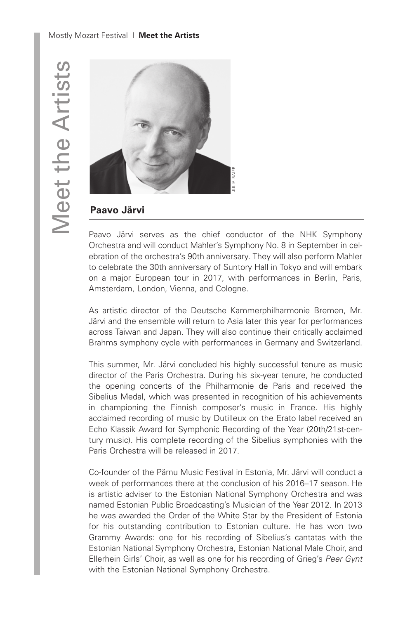

# **Paavo Järvi**

Paavo Järvi serves as the chief conductor of the NHK Symphony Orchestra and will conduct Mahler's Symphony No. 8 in September in celebration of the orchestra's 90th anniversary. They will also perform Mahler to celebrate the 30th anniversary of Suntory Hall in Tokyo and will embark on a major European tour in 2017, with performances in Berlin, Paris, Amsterdam, London, Vienna, and Cologne.

As artistic director of the Deutsche Kammerphilharmonie Bremen, Mr. Järvi and the ensemble will return to Asia later this year for performances across Taiwan and Japan. They will also continue their critically acclaimed Brahms symphony cycle with performances in Germany and Switzerland.

This summer, Mr. Järvi concluded his highly successful tenure as music director of the Paris Orchestra. During his six-year tenure, he conducted the opening concerts of the Philharmonie de Paris and received the Sibelius Medal, which was presented in recognition of his achievements in championing the Finnish composer's music in France. His highly acclaimed recording of music by Dutilleux on the Erato label received an Echo Klassik Award for Symphonic Recording of the Year (20th/21st-century music). His complete recording of the Sibelius symphonies with the Paris Orchestra will be released in 2017.

Co-founder of the Pärnu Music Festival in Estonia, Mr. Järvi will conduct a week of performances there at the conclusion of his 2016–17 season. He is artistic adviser to the Estonian National Symphony Orchestra and was named Estonian Public Broadcasting's Musician of the Year 2012. In 2013 he was awarded the Order of the White Star by the President of Estonia for his outstanding contribution to Estonian culture. He has won two Grammy Awards: one for his recording of Sibelius's cantatas with the Estonian National Symphony Orchestra, Estonian National Male Choir, and Ellerhein Girls' Choir, as well as one for his recording of Grieg's *Peer Gynt* with the Estonian National Symphony Orchestra.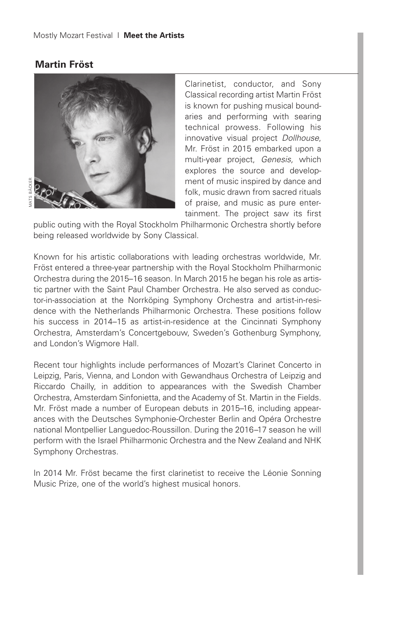## **Martin Fröst**



Clarinetist, conductor, and Sony Classical recording artist Martin Fröst is known for pushing musical boundaries and performing with searing technical prowess. Following his innovative visual project *Dollhouse*, Mr. Fröst in 2015 embarked upon a multi-year project, *Genesis,* which explores the source and development of music inspired by dance and folk, music drawn from sacred rituals of praise, and music as pure entertainment. The project saw its first

public outing with the Royal Stockholm Philharmonic Orchestra shortly before being released worldwide by Sony Classical.

Known for his artistic collaborations with leading orchestras worldwide, Mr. Fröst entered a three-year partnership with the Royal Stockholm Philharmonic Orchestra during the 2015–16 season. In March 2015 he began his role as artistic partner with the Saint Paul Chamber Orchestra. He also served as conductor-in-association at the Norrköping Symphony Orchestra and artist-in-residence with the Netherlands Philharmonic Orchestra. These positions follow his success in 2014–15 as artist-in-residence at the Cincinnati Symphony Orchestra, Amsterdam's Concertgebouw, Sweden's Gothenburg Symphony, and London's Wigmore Hall.

Recent tour highlights include performances of Mozart's Clarinet Concerto in Leipzig, Paris, Vienna, and London with Gewandhaus Orchestra of Leipzig and Riccardo Chailly, in addition to appearances with the Swedish Chamber Orchestra, Amsterdam Sinfonietta, and the Academy of St. Martin in the Fields. Mr. Fröst made a number of European debuts in 2015–16, including appearances with the Deutsches Symphonie-Orchester Berlin and Opéra Orchestre national Montpellier Languedoc-Roussillon. During the 2016–17 season he will perform with the Israel Philharmonic Orchestra and the New Zealand and NHK Symphony Orchestras.

In 2014 Mr. Fröst became the first clarinetist to receive the Léonie Sonning Music Prize, one of the world's highest musical honors.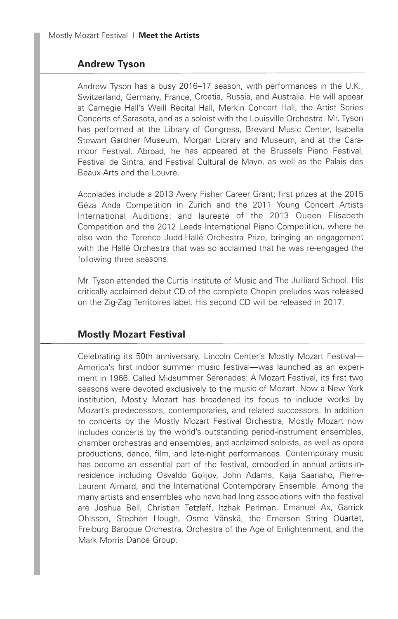## **Andrew Tyson**

Andrew Tyson has <sup>a</sup> busy 2016–17 season, with performances in the U.K., Switzerland, Germany, France, Croatia, Russia, and Australia. He will appear at Carnegie Hall's Weill Recital Hall, Merkin Concert Hall, the Artist Series Concerts of Sarasota, and as <sup>a</sup> soloist with the Louisville Orchestra. Mr. Tyson has performed at the Library of Congress, Brevard Music Center, Isabella Stewart Gardner Museum, Morgan Library and Museum, and at the Caramoor Festival. Abroad, he has appeared at the Brussels Piano Festival, Festival de Sintra, and Festival Cultural de Mayo, as well as the Palais des Beaux-Arts and the Louvre.

Accolades include <sup>a</sup> 2013 Avery Fisher Career Grant; first prizes at the 2015 Géza Anda Competition in Zurich and the 2011 Young Concert Artists International Auditions; and laureate of the 2013 Queen Elisabeth Competition and the 2012 Leeds International Piano Competition, where he also won the Terence Judd-Hallé Orchestra Prize, bringing an engagement with the Hallé Orchestra that was so acclaimed that he was re-engaged the following three seasons.

Mr. Tyson attended the Curtis Institute of Music and The Juilliard School. His critically acclaimed debut CD of the complete Chopin preludes was released on the Zig-Zag Territoires label. His second CD will be released in 2017.

## **Mostly Mozart Festival**

Celebrating its 50th anniversary, Lincoln Center's Mostly Mozart Festival— America's first indoor summer music festival—was launched as an experiment in 1966. Called Midsummer Serenades: A Mozart Festival, its first two seasons were devoted exclusively to the music of Mozart. Now <sup>a</sup> New York institution, Mostly Mozart has broadened its focus to include works by Mozart's predecessors, contemporaries, and related successors. In addition to concerts by the Mostly Mozart Festival Orchestra, Mostly Mozart now includes concerts by the world's outstanding period-instrument ensembles, chamber orchestras and ensembles, and acclaimed soloists, as well as opera productions, dance, film, and late-night performances. Contemporary music has become an essential part of the festival, embodied in annual artists-inresidence including Osvaldo Golijov, John Adams, Kaija Saariaho, Pierre-Laurent Aimard, and the International Contemporary Ensemble. Among the many artists and ensembles who have had long associations with the festival are Joshua Bell, Christian Tetzlaff, Itzhak Perlman, Emanuel Ax, Garrick Ohlsson, Stephen Hough, Osmo Vänskä, the Emerson String Quartet, Freiburg Baroque Orchestra, Orchestra of the Age of Enlightenment, and the Mark Morris Dance Group.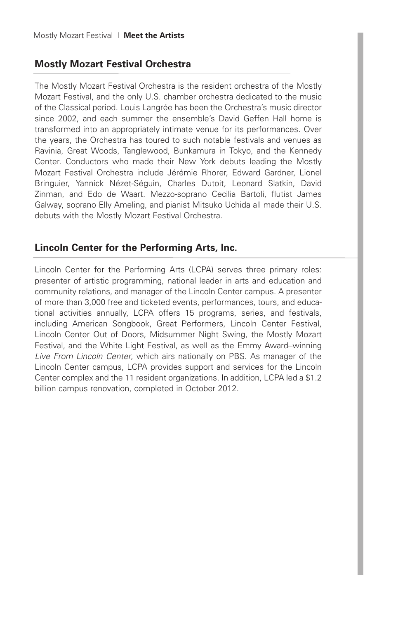# **Mostly Mozart Festival Orchestra**

The Mostly Mozart Festival Orchestra is the resident orchestra of the Mostly Mozart Festival, and the only U.S. chamber orchestra dedicated to the music of the Classical period. Louis Langrée has been the Orchestra's music director since 2002, and each summer the ensemble's David Geffen Hall home is transformed into an appropriately intimate venue for its performances. Over the years, the Orchestra has toured to such notable festivals and venues as Ravinia, Great Woods, Tanglewood, Bunkamura in Tokyo, and the Kennedy Center. Conductors who made their New York debuts leading the Mostly Mozart Festival Orchestra include Jérémie Rhorer, Edward Gardner, Lionel Bringuier, Yannick Nézet-Séguin, Charles Dutoit, Leonard Slatkin, David Zinman, and Edo de Waart. Mezzo-soprano Cecilia Bartoli, flutist James Galway, soprano Elly Ameling, and pianist Mitsuko Uchida all made their U.S. debuts with the Mostly Mozart Festival Orchestra.

# **Lincoln Center for the Performing Arts, Inc.**

Lincoln Center for the Performing Arts (LCPA) serves three primary roles: presenter of artistic programming, national leader in arts and education and community relations, and manager of the Lincoln Center campus. A presenter of more than 3,000 free and ticketed events, performances, tours, and educational activities annually, LCPA offers 15 programs, series, and festivals, including American Songbook, Great Performers, Lincoln Center Festival, Lincoln Center Out of Doors, Midsummer Night Swing, the Mostly Mozart Festival, and the White Light Festival, as well as the Emmy Award–winning *Live From Lincoln Center*, which airs nationally on PBS. As manager of the Lincoln Center campus, LCPA provides support and services for the Lincoln Center complex and the 11 resident organizations. In addition, LCPA led a \$1.2 billion campus renovation, completed in October 2012.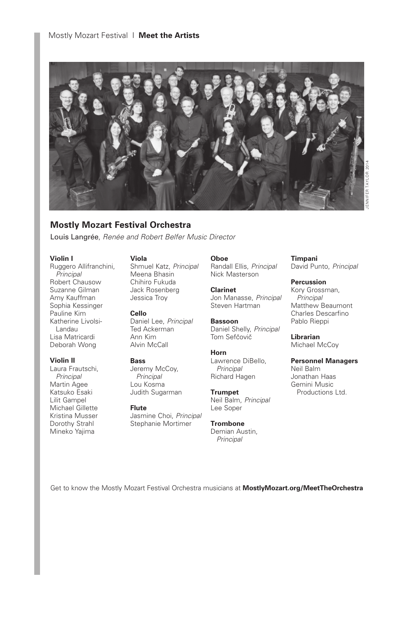

### **Mostly Mozart Festival Orchestra**

Louis Langrée, *Renée and Robert Belfer Music Director*

#### **Violin I**

Ruggero Allifranchini, *Principal* Robert Chausow Suzanne Gilman Amy Kauffman Sophia Kessinger Pauline Kim Katherine Livolsi-Landau Lisa Matricardi Deborah Wong

#### **Violin II**

Laura Frautschi, *Principal* Martin Agee Katsuko Esaki Lilit Gampel Michael Gillette Kristina Musser Dorothy Strahl Mineko Yajima

#### **Viola**

Shmuel Katz, *Principal* Meena Bhasin Chihiro Fukuda Jack Rosenberg Jessica Troy

**Cello** Daniel Lee, *Principal* Ted Ackerman Ann Kim Alvin McCall

#### **Bass**

Jeremy McCoy, *Principal* Lou Kosma Judith Sugarman

**Flute** Jasmine Choi, *Principal* Stephanie Mortimer

**Oboe**

Randall Ellis, *Principal* Nick Masterson

**Clarinet** Jon Manasse, *Principal* Steven Hartman

**Bassoon** Daniel Shelly, *Principal* Tom Sefčovič

**Horn** Lawrence DiBello, *Principal* Richard Hagen

**Trumpet** Neil Balm, *Principal* Lee Soper

**Trombone** Demian Austin, *Principal*

# **Timpani**

David Punto, *Principal*

**Percussion** Kory Grossman, *Principal* Matthew Beaumont Charles Descarfino Pablo Rieppi

**Librarian** Michael McCoy

**Personnel Managers** Neil Balm Jonathan Haas Gemini Music Productions Ltd.

Get to know the Mostly Mozart Festival Orchestra musicians at **MostlyMozart.org/MeetTheOrchestra**